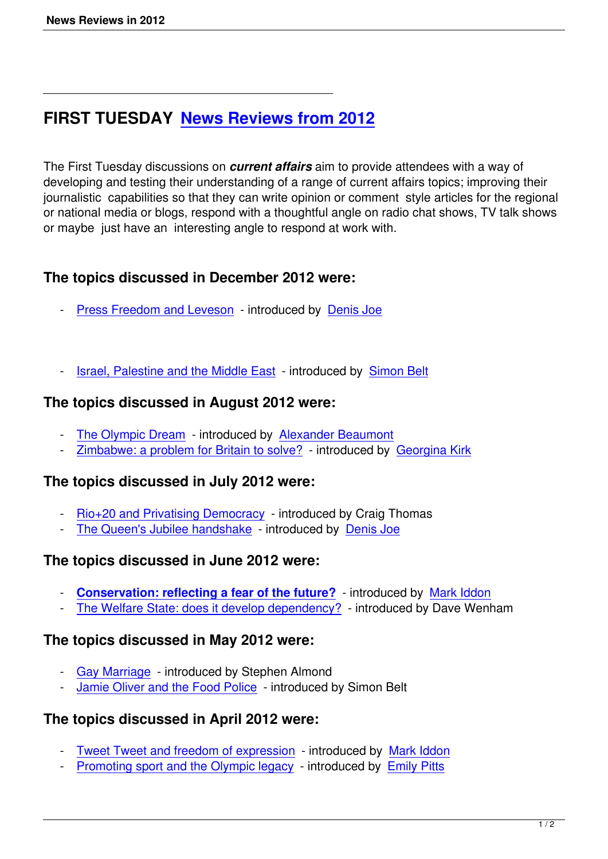# **FIRST TUESDAY News Reviews from 2012**

The First Tuesday discussions on *[current affairs](news-reviews-in-2012.html)* aim to provide attendees with a way of developing and testing their understanding of a range of current affairs topics; improving their journalistic capabilities so that they can write opinion or comment style articles for the regional or national media or blogs, respond with a thoughtful angle on radio chat shows, TV talk shows or maybe just have an interesting angle to respond at work with.

## **The topics discussed in December 2012 were:**

- Press Freedom and Leveson introduced by Denis Joe
- [Israel, Palestine and the Midd](press-freedom-and-leveson.html)le East introdu[ced by Sim](speakers.html#denis-joe)on Belt

## **The topics discussed in August 2012 were:**

- The Olympic Dream introduced by Alexander Beaumont
- Zimbabwe: a problem for Britain to solve? introduced by Georgina Kirk

# **The [topics discussed](the-olympic-dream.html) in July 2012 [were:](writers.html#alexander-beaumont)**

- Rio+20 and Privatising Democracy introduced by Craig Thomas
- The Queen's Jubilee handshake introduced by Denis Joe

# **The [topics discussed in June 201](rio-20-privatisation-of-democracy-craig-thomas.html)2 were:**

- **Conservation: reflecting a fear of the future?** introduced by Mark Iddon
- The Welfare State: does it develop dependency? introduced by Dave Wenham

#### **The [topics discussed in May 2012 were:](conservation-reflecting-a-fear-of-the-future.html)**

- Gay Marriage introduced by Stephen Almond
- Jamie Oliver and the Food Police introduced by Simon Belt

# **The [topics discu](gay-marriage-liberty-and-morality.html)ssed in April 2012 were:**

- Tweet Tweet and freedom of expression introduced by Mark Iddon
- Promoting sport and the Olympic legacy introduced by Emily Pitts